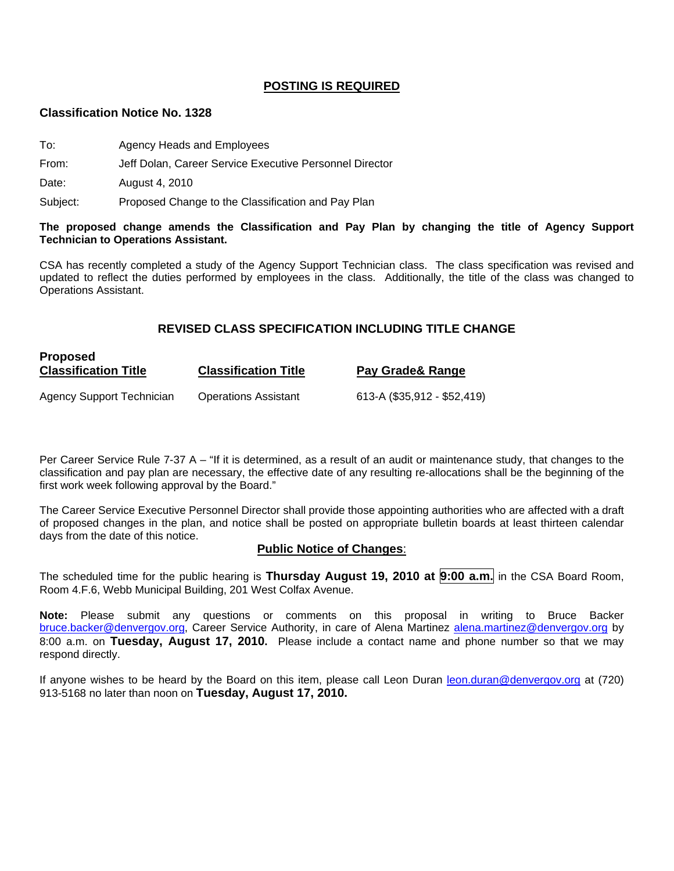#### **POSTING IS REQUIRED**

#### **Classification Notice No. 1328**

- To: Agency Heads and Employees
- From: Jeff Dolan, Career Service Executive Personnel Director

Date: August 4, 2010

**Proposed** 

Subject: Proposed Change to the Classification and Pay Plan

#### **The proposed change amends the Classification and Pay Plan by changing the title of Agency Support Technician to Operations Assistant.**

CSA has recently completed a study of the Agency Support Technician class. The class specification was revised and updated to reflect the duties performed by employees in the class. Additionally, the title of the class was changed to Operations Assistant.

#### **REVISED CLASS SPECIFICATION INCLUDING TITLE CHANGE**

| <b>FIUDUSEU</b><br><b>Classification Title</b> | <b>Classification Title</b> | Pay Grade & Range           |
|------------------------------------------------|-----------------------------|-----------------------------|
| Agency Support Technician                      | <b>Operations Assistant</b> | 613-A (\$35,912 - \$52,419) |

Per Career Service Rule 7-37 A – "If it is determined, as a result of an audit or maintenance study, that changes to the classification and pay plan are necessary, the effective date of any resulting re-allocations shall be the beginning of the first work week following approval by the Board."

The Career Service Executive Personnel Director shall provide those appointing authorities who are affected with a draft of proposed changes in the plan, and notice shall be posted on appropriate bulletin boards at least thirteen calendar days from the date of this notice.

#### **Public Notice of Changes**:

The scheduled time for the public hearing is **Thursday August 19, 2010 at 9:00 a.m.** in the CSA Board Room, Room 4.F.6, Webb Municipal Building, 201 West Colfax Avenue.

**Note:** Please submit any questions or comments on this proposal in writing to Bruce Backer [bruce.backer@denvergov.org,](mailto:bruce.backer@denvergov.org) Career Service Authority, in care of Alena Martinez [alena.martinez@denvergov.org](mailto:alena.martinez@denvergov.org) by 8:00 a.m. on **Tuesday, August 17, 2010.** Please include a contact name and phone number so that we may respond directly.

If anyone wishes to be heard by the Board on this item, please call Leon Duran [leon.duran@denvergov.org](mailto:leon.duran@denvergov.org) at (720) 913-5168 no later than noon on **Tuesday, August 17, 2010.**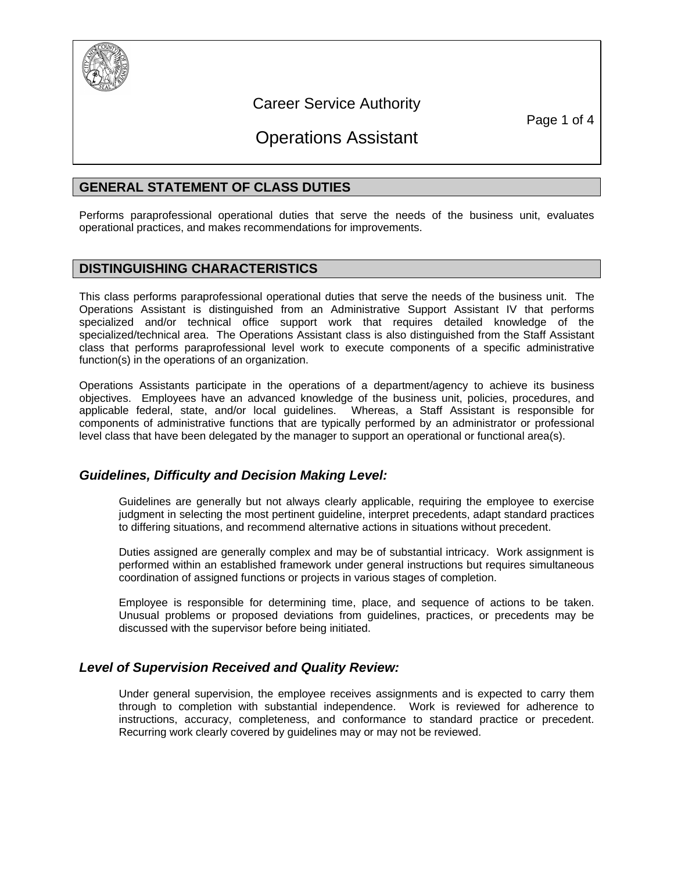

# Career Service Authority

Page 1 of 4

# Operations Assistant

# **GENERAL STATEMENT OF CLASS DUTIES**

Performs paraprofessional operational duties that serve the needs of the business unit, evaluates operational practices, and makes recommendations for improvements.

# **DISTINGUISHING CHARACTERISTICS**

This class performs paraprofessional operational duties that serve the needs of the business unit. The Operations Assistant is distinguished from an Administrative Support Assistant IV that performs specialized and/or technical office support work that requires detailed knowledge of the specialized/technical area. The Operations Assistant class is also distinguished from the Staff Assistant class that performs paraprofessional level work to execute components of a specific administrative function(s) in the operations of an organization.

Operations Assistants participate in the operations of a department/agency to achieve its business objectives. Employees have an advanced knowledge of the business unit, policies, procedures, and applicable federal, state, and/or local guidelines. Whereas, a Staff Assistant is responsible for components of administrative functions that are typically performed by an administrator or professional level class that have been delegated by the manager to support an operational or functional area(s).

# *Guidelines, Difficulty and Decision Making Level:*

Guidelines are generally but not always clearly applicable, requiring the employee to exercise judgment in selecting the most pertinent guideline, interpret precedents, adapt standard practices to differing situations, and recommend alternative actions in situations without precedent.

Duties assigned are generally complex and may be of substantial intricacy. Work assignment is performed within an established framework under general instructions but requires simultaneous coordination of assigned functions or projects in various stages of completion.

Employee is responsible for determining time, place, and sequence of actions to be taken. Unusual problems or proposed deviations from guidelines, practices, or precedents may be discussed with the supervisor before being initiated.

# *Level of Supervision Received and Quality Review:*

Under general supervision, the employee receives assignments and is expected to carry them through to completion with substantial independence. Work is reviewed for adherence to instructions, accuracy, completeness, and conformance to standard practice or precedent. Recurring work clearly covered by guidelines may or may not be reviewed.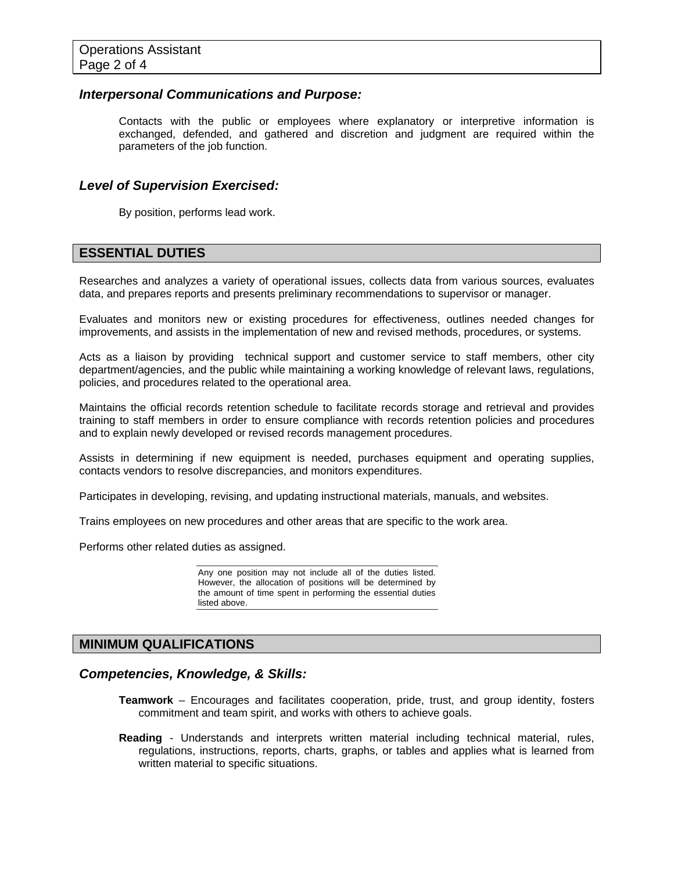#### *Interpersonal Communications and Purpose:*

Contacts with the public or employees where explanatory or interpretive information is exchanged, defended, and gathered and discretion and judgment are required within the parameters of the job function.

#### *Level of Supervision Exercised:*

By position, performs lead work.

# **ESSENTIAL DUTIES**

Researches and analyzes a variety of operational issues, collects data from various sources, evaluates data, and prepares reports and presents preliminary recommendations to supervisor or manager.

Evaluates and monitors new or existing procedures for effectiveness, outlines needed changes for improvements, and assists in the implementation of new and revised methods, procedures, or systems.

Acts as a liaison by providing technical support and customer service to staff members, other city department/agencies, and the public while maintaining a working knowledge of relevant laws, regulations, policies, and procedures related to the operational area.

Maintains the official records retention schedule to facilitate records storage and retrieval and provides training to staff members in order to ensure compliance with records retention policies and procedures and to explain newly developed or revised records management procedures.

Assists in determining if new equipment is needed, purchases equipment and operating supplies, contacts vendors to resolve discrepancies, and monitors expenditures.

Participates in developing, revising, and updating instructional materials, manuals, and websites.

Trains employees on new procedures and other areas that are specific to the work area.

Performs other related duties as assigned.

Any one position may not include all of the duties listed. However, the allocation of positions will be determined by the amount of time spent in performing the essential duties listed above.

# **MINIMUM QUALIFICATIONS**

#### *Competencies, Knowledge, & Skills:*

- **Teamwork** Encourages and facilitates cooperation, pride, trust, and group identity, fosters commitment and team spirit, and works with others to achieve goals.
- **Reading** Understands and interprets written material including technical material, rules, regulations, instructions, reports, charts, graphs, or tables and applies what is learned from written material to specific situations.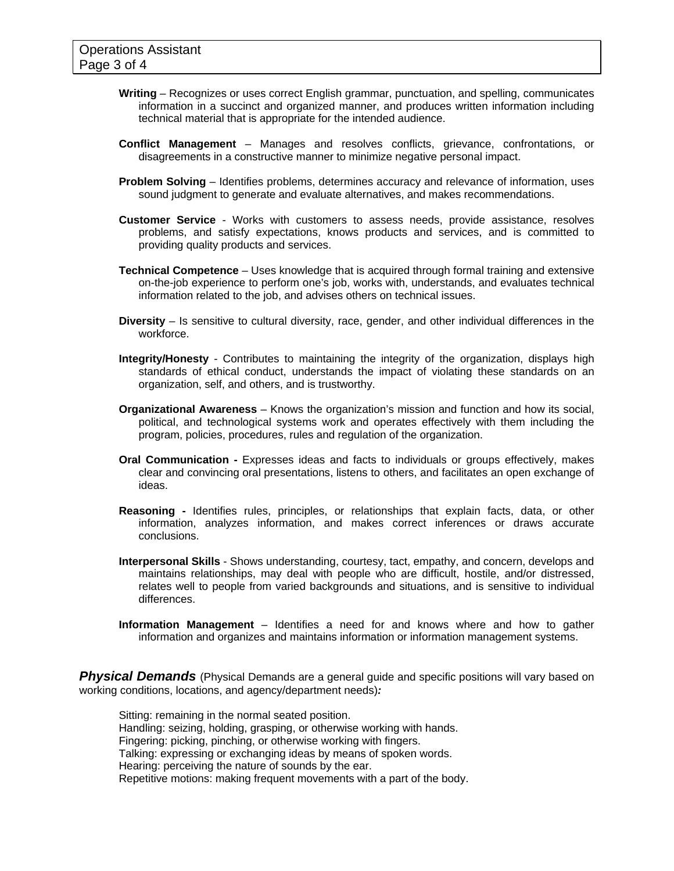- **Writing** Recognizes or uses correct English grammar, punctuation, and spelling, communicates information in a succinct and organized manner, and produces written information including technical material that is appropriate for the intended audience.
- **Conflict Management** Manages and resolves conflicts, grievance, confrontations, or disagreements in a constructive manner to minimize negative personal impact.
- **Problem Solving** Identifies problems, determines accuracy and relevance of information, uses sound judgment to generate and evaluate alternatives, and makes recommendations.
- **Customer Service** Works with customers to assess needs, provide assistance, resolves problems, and satisfy expectations, knows products and services, and is committed to providing quality products and services.
- **Technical Competence** Uses knowledge that is acquired through formal training and extensive on-the-job experience to perform one's job, works with, understands, and evaluates technical information related to the job, and advises others on technical issues.
- **Diversity** Is sensitive to cultural diversity, race, gender, and other individual differences in the workforce.
- **Integrity/Honesty** Contributes to maintaining the integrity of the organization, displays high standards of ethical conduct, understands the impact of violating these standards on an organization, self, and others, and is trustworthy.
- **Organizational Awareness** Knows the organization's mission and function and how its social, political, and technological systems work and operates effectively with them including the program, policies, procedures, rules and regulation of the organization.
- **Oral Communication** Expresses ideas and facts to individuals or groups effectively, makes clear and convincing oral presentations, listens to others, and facilitates an open exchange of ideas.
- **Reasoning -** Identifies rules, principles, or relationships that explain facts, data, or other information, analyzes information, and makes correct inferences or draws accurate conclusions.
- **Interpersonal Skills** Shows understanding, courtesy, tact, empathy, and concern, develops and maintains relationships, may deal with people who are difficult, hostile, and/or distressed, relates well to people from varied backgrounds and situations, and is sensitive to individual differences.
- **Information Management** Identifies a need for and knows where and how to gather information and organizes and maintains information or information management systems.

**Physical Demands** (Physical Demands are a general guide and specific positions will vary based on working conditions, locations, and agency/department needs)*:* 

Sitting: remaining in the normal seated position. Handling: seizing, holding, grasping, or otherwise working with hands. Fingering: picking, pinching, or otherwise working with fingers. Talking: expressing or exchanging ideas by means of spoken words. Hearing: perceiving the nature of sounds by the ear. Repetitive motions: making frequent movements with a part of the body.